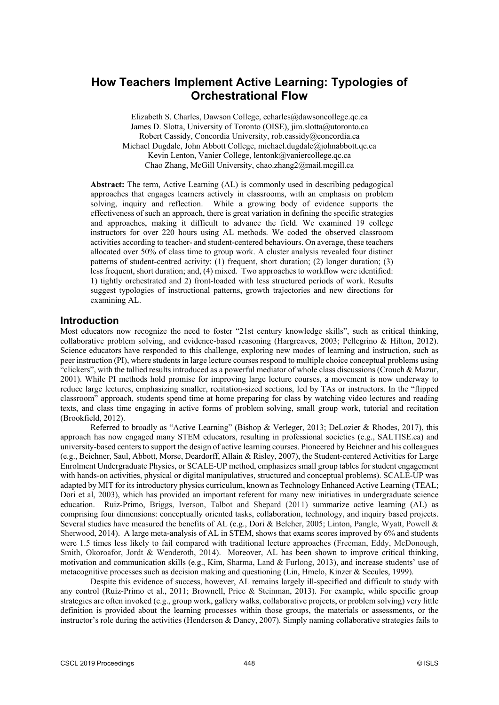# **How Teachers Implement Active Learning: Typologies of Orchestrational Flow**

Elizabeth S. Charles, Dawson College, echarles@dawsoncollege.qc.ca James D. Slotta, University of Toronto (OISE), jim.slotta@utoronto.ca Robert Cassidy, Concordia University, rob.cassidy@concordia.ca Michael Dugdale, John Abbott College, michael.dugdale@johnabbott.qc.ca Kevin Lenton, Vanier College, lentonk@vaniercollege.qc.ca Chao Zhang, McGill University, chao.zhang2@mail.mcgill.ca

**Abstract:** The term, Active Learning (AL) is commonly used in describing pedagogical approaches that engages learners actively in classrooms, with an emphasis on problem solving, inquiry and reflection. While a growing body of evidence supports the effectiveness of such an approach, there is great variation in defining the specific strategies and approaches, making it difficult to advance the field. We examined 19 college instructors for over 220 hours using AL methods. We coded the observed classroom activities according to teacher- and student-centered behaviours. On average, these teachers allocated over 50% of class time to group work. A cluster analysis revealed four distinct patterns of student-centred activity: (1) frequent, short duration; (2) longer duration; (3) less frequent, short duration; and, (4) mixed. Two approaches to workflow were identified: 1) tightly orchestrated and 2) front-loaded with less structured periods of work. Results suggest typologies of instructional patterns, growth trajectories and new directions for examining AL.

## **Introduction**

Most educators now recognize the need to foster "21st century knowledge skills", such as critical thinking, collaborative problem solving, and evidence-based reasoning (Hargreaves, 2003; Pellegrino & Hilton, 2012). Science educators have responded to this challenge, exploring new modes of learning and instruction, such as peer instruction (PI), where students in large lecture courses respond to multiple choice conceptual problems using "clickers", with the tallied results introduced as a powerful mediator of whole class discussions (Crouch & Mazur, 2001). While PI methods hold promise for improving large lecture courses, a movement is now underway to reduce large lectures, emphasizing smaller, recitation-sized sections, led by TAs or instructors. In the "flipped classroom" approach, students spend time at home preparing for class by watching video lectures and reading texts, and class time engaging in active forms of problem solving, small group work, tutorial and recitation (Brookfield, 2012).

Referred to broadly as "Active Learning" (Bishop & Verleger, 2013; DeLozier & Rhodes, 2017), this approach has now engaged many STEM educators, resulting in professional societies (e.g., SALTISE.ca) and university-based centers to support the design of active learning courses. Pioneered by Beichner and his colleagues (e.g., Beichner, Saul, Abbott, Morse, Deardorff, Allain & Risley, 2007), the Student-centered Activities for Large Enrolment Undergraduate Physics, or SCALE-UP method, emphasizes small group tables for student engagement with hands-on activities, physical or digital manipulatives, structured and conceptual problems). SCALE-UP was adapted by MIT for its introductory physics curriculum, known as Technology Enhanced Active Learning (TEAL; Dori et al, 2003), which has provided an important referent for many new initiatives in undergraduate science education. Ruiz-Primo, Briggs, Iverson, Talbot and Shepard (2011) summarize active learning (AL) as comprising four dimensions: conceptually oriented tasks, collaboration, technology, and inquiry based projects. Several studies have measured the benefits of AL (e.g., Dori & Belcher, 2005; Linton, Pangle, Wyatt, Powell & Sherwood, 2014). A large meta-analysis of AL in STEM, shows that exams scores improved by 6% and students were 1.5 times less likely to fail compared with traditional lecture approaches (Freeman, Eddy, McDonough, Smith, Okoroafor, Jordt & Wenderoth, 2014). Moreover, AL has been shown to improve critical thinking, motivation and communication skills (e.g., Kim, Sharma, Land & Furlong, 2013), and increase students' use of metacognitive processes such as decision making and questioning (Lin, Hmelo, Kinzer & Secules, 1999).

Despite this evidence of success, however, AL remains largely ill-specified and difficult to study with any control (Ruiz-Primo et al., 2011; Brownell, Price & Steinman, 2013). For example, while specific group strategies are often invoked (e.g., group work, gallery walks, collaborative projects, or problem solving) very little definition is provided about the learning processes within those groups, the materials or assessments, or the instructor's role during the activities (Henderson & Dancy, 2007). Simply naming collaborative strategies fails to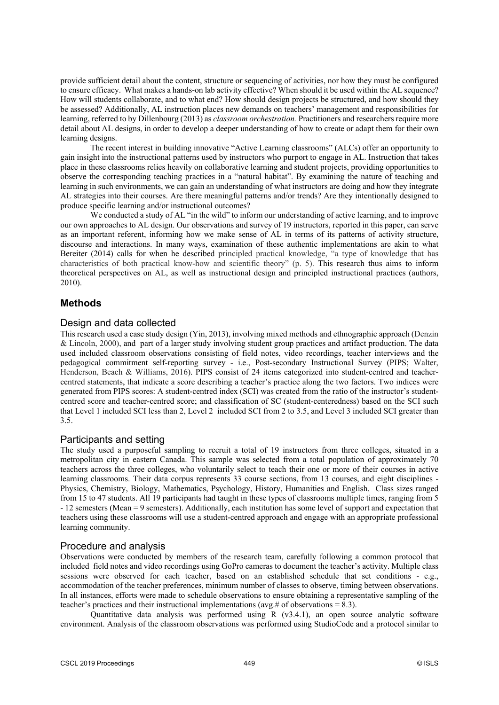provide sufficient detail about the content, structure or sequencing of activities, nor how they must be configured to ensure efficacy. What makes a hands-on lab activity effective? When should it be used within the AL sequence? How will students collaborate, and to what end? How should design projects be structured, and how should they be assessed? Additionally, AL instruction places new demands on teachers' management and responsibilities for learning, referred to by Dillenbourg (2013) as *classroom orchestration.* Practitioners and researchers require more detail about AL designs, in order to develop a deeper understanding of how to create or adapt them for their own learning designs.

The recent interest in building innovative "Active Learning classrooms" (ALCs) offer an opportunity to gain insight into the instructional patterns used by instructors who purport to engage in AL. Instruction that takes place in these classrooms relies heavily on collaborative learning and student projects, providing opportunities to observe the corresponding teaching practices in a "natural habitat". By examining the nature of teaching and learning in such environments, we can gain an understanding of what instructors are doing and how they integrate AL strategies into their courses. Are there meaningful patterns and/or trends? Are they intentionally designed to produce specific learning and/or instructional outcomes?

We conducted a study of AL "in the wild" to inform our understanding of active learning, and to improve our own approaches to AL design. Our observations and survey of 19 instructors, reported in this paper, can serve as an important referent, informing how we make sense of AL in terms of its patterns of activity structure, discourse and interactions. In many ways, examination of these authentic implementations are akin to what Bereiter (2014) calls for when he described principled practical knowledge, "a type of knowledge that has characteristics of both practical know-how and scientific theory" (p. 5). This research thus aims to inform theoretical perspectives on AL, as well as instructional design and principled instructional practices (authors, 2010).

## **Methods**

## Design and data collected

This research used a case study design (Yin, 2013), involving mixed methods and ethnographic approach (Denzin & Lincoln, 2000), and part of a larger study involving student group practices and artifact production. The data used included classroom observations consisting of field notes, video recordings, teacher interviews and the pedagogical commitment self-reporting survey - i.e., Post-secondary Instructional Survey (PIPS; Walter, Henderson, Beach & Williams, 2016). PIPS consist of 24 items categorized into student-centred and teachercentred statements, that indicate a score describing a teacher's practice along the two factors. Two indices were generated from PIPS scores: A student-centred index (SCI) was created from the ratio of the instructor's studentcentred score and teacher-centred score; and classification of SC (student-centeredness) based on the SCI such that Level 1 included SCI less than 2, Level 2 included SCI from 2 to 3.5, and Level 3 included SCI greater than 3.5.

#### Participants and setting

The study used a purposeful sampling to recruit a total of 19 instructors from three colleges, situated in a metropolitan city in eastern Canada. This sample was selected from a total population of approximately 70 teachers across the three colleges, who voluntarily select to teach their one or more of their courses in active learning classrooms. Their data corpus represents 33 course sections, from 13 courses, and eight disciplines - Physics, Chemistry, Biology, Mathematics, Psychology, History, Humanities and English. Class sizes ranged from 15 to 47 students. All 19 participants had taught in these types of classrooms multiple times, ranging from 5 - 12 semesters (Mean = 9 semesters). Additionally, each institution has some level of support and expectation that teachers using these classrooms will use a student-centred approach and engage with an appropriate professional learning community.

## Procedure and analysis

Observations were conducted by members of the research team, carefully following a common protocol that included field notes and video recordings using GoPro cameras to document the teacher's activity. Multiple class sessions were observed for each teacher, based on an established schedule that set conditions - e.g., accommodation of the teacher preferences, minimum number of classes to observe, timing between observations. In all instances, efforts were made to schedule observations to ensure obtaining a representative sampling of the teacher's practices and their instructional implementations (avg.# of observations = 8.3).

Quantitative data analysis was performed using R (v3.4.1), an open source analytic software environment. Analysis of the classroom observations was performed using StudioCode and a protocol similar to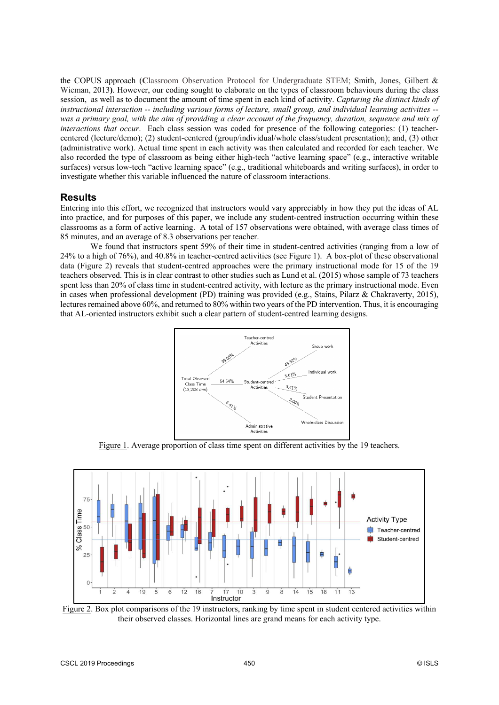the COPUS approach (**C**lassroom Observation Protocol for Undergraduate STEM; Smith, Jones, Gilbert & Wieman, 2013**)**. However, our coding sought to elaborate on the types of classroom behaviours during the class session, as well as to document the amount of time spent in each kind of activity. *Capturing the distinct kinds of instructional interaction -- including various forms of lecture, small group, and individual learning activities - was a primary goal, with the aim of providing a clear account of the frequency, duration, sequence and mix of interactions that occur*. Each class session was coded for presence of the following categories: (1) teachercentered (lecture/demo); (2) student-centered (group/individual/whole class/student presentation); and, (3) other (administrative work). Actual time spent in each activity was then calculated and recorded for each teacher. We also recorded the type of classroom as being either high-tech "active learning space" (e.g., interactive writable surfaces) versus low-tech "active learning space" (e.g., traditional whiteboards and writing surfaces), in order to investigate whether this variable influenced the nature of classroom interactions.

## **Results**

Entering into this effort, we recognized that instructors would vary appreciably in how they put the ideas of AL into practice, and for purposes of this paper, we include any student-centred instruction occurring within these classrooms as a form of active learning. A total of 157 observations were obtained, with average class times of 85 minutes, and an average of 8.3 observations per teacher.

We found that instructors spent 59% of their time in student-centred activities (ranging from a low of 24% to a high of 76%), and 40.8% in teacher-centred activities (see Figure 1). A box-plot of these observational data (Figure 2) reveals that student-centred approaches were the primary instructional mode for 15 of the 19 teachers observed. This is in clear contrast to other studies such as Lund et al. (2015) whose sample of 73 teachers spent less than 20% of class time in student-centred activity, with lecture as the primary instructional mode. Even in cases when professional development (PD) training was provided (e.g., Stains, Pilarz & Chakraverty, 2015), lectures remained above 60%, and returned to 80% within two years of the PD intervention. Thus, it is encouraging that AL-oriented instructors exhibit such a clear pattern of student-centred learning designs.



Figure 1. Average proportion of class time spent on different activities by the 19 teachers.



Figure 2. Box plot comparisons of the 19 instructors, ranking by time spent in student centered activities within their observed classes. Horizontal lines are grand means for each activity type.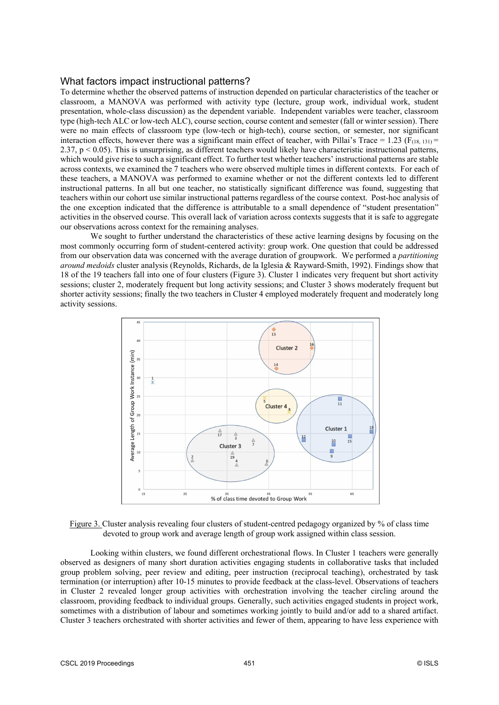#### What factors impact instructional patterns?

To determine whether the observed patterns of instruction depended on particular characteristics of the teacher or classroom, a MANOVA was performed with activity type (lecture, group work, individual work, student presentation, whole-class discussion) as the dependent variable. Independent variables were teacher, classroom type (high-tech ALC or low-tech ALC), course section, course content and semester (fall or winter session). There were no main effects of classroom type (low-tech or high-tech), course section, or semester, nor significant interaction effects, however there was a significant main effect of teacher, with Pillai's Trace = 1.23 ( $F_{(18, 131)}$  = 2.37, p < 0.05). This is unsurprising, as different teachers would likely have characteristic instructional patterns, which would give rise to such a significant effect. To further test whether teachers' instructional patterns are stable across contexts, we examined the 7 teachers who were observed multiple times in different contexts. For each of these teachers, a MANOVA was performed to examine whether or not the different contexts led to different instructional patterns. In all but one teacher, no statistically significant difference was found, suggesting that teachers within our cohort use similar instructional patterns regardless of the course context. Post-hoc analysis of the one exception indicated that the difference is attributable to a small dependence of "student presentation" activities in the observed course. This overall lack of variation across contexts suggests that it is safe to aggregate our observations across context for the remaining analyses.

We sought to further understand the characteristics of these active learning designs by focusing on the most commonly occurring form of student-centered activity: group work. One question that could be addressed from our observation data was concerned with the average duration of groupwork. We performed a *partitioning around medoids* cluster analysis (Reynolds, Richards, de la Iglesia & Rayward-Smith, 1992). Findings show that 18 of the 19 teachers fall into one of four clusters (Figure 3). Cluster 1 indicates very frequent but short activity sessions; cluster 2, moderately frequent but long activity sessions; and Cluster 3 shows moderately frequent but shorter activity sessions; finally the two teachers in Cluster 4 employed moderately frequent and moderately long activity sessions.





Looking within clusters, we found different orchestrational flows. In Cluster 1 teachers were generally observed as designers of many short duration activities engaging students in collaborative tasks that included group problem solving, peer review and editing, peer instruction (reciprocal teaching), orchestrated by task termination (or interruption) after 10-15 minutes to provide feedback at the class-level. Observations of teachers in Cluster 2 revealed longer group activities with orchestration involving the teacher circling around the classroom, providing feedback to individual groups. Generally, such activities engaged students in project work, sometimes with a distribution of labour and sometimes working jointly to build and/or add to a shared artifact. Cluster 3 teachers orchestrated with shorter activities and fewer of them, appearing to have less experience with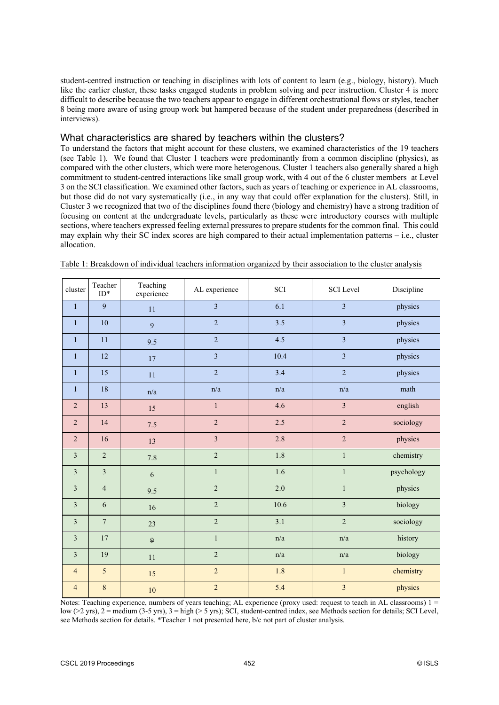student-centred instruction or teaching in disciplines with lots of content to learn (e.g., biology, history). Much like the earlier cluster, these tasks engaged students in problem solving and peer instruction. Cluster 4 is more difficult to describe because the two teachers appear to engage in different orchestrational flows or styles, teacher 8 being more aware of using group work but hampered because of the student under preparedness (described in interviews).

## What characteristics are shared by teachers within the clusters?

To understand the factors that might account for these clusters, we examined characteristics of the 19 teachers (see Table 1). We found that Cluster 1 teachers were predominantly from a common discipline (physics), as compared with the other clusters, which were more heterogenous. Cluster 1 teachers also generally shared a high commitment to student-centred interactions like small group work, with 4 out of the 6 cluster members at Level 3 on the SCI classification. We examined other factors, such as years of teaching or experience in AL classrooms, but those did do not vary systematically (i.e., in any way that could offer explanation for the clusters). Still, in Cluster 3 we recognized that two of the disciplines found there (biology and chemistry) have a strong tradition of focusing on content at the undergraduate levels, particularly as these were introductory courses with multiple sections, where teachers expressed feeling external pressures to prepare students for the common final. This could may explain why their SC index scores are high compared to their actual implementation patterns – i.e., cluster allocation.

| cluster        | Teacher<br>$ID*$        | Teaching<br>experience | AL experience           | SCI                     | <b>SCI</b> Level        | Discipline |
|----------------|-------------------------|------------------------|-------------------------|-------------------------|-------------------------|------------|
| $\mathbf{1}$   | 9                       | 11                     | $\overline{3}$          | 6.1                     | $\overline{3}$          | physics    |
| $\mathbf{1}$   | 10                      | 9                      | $\overline{2}$          | 3.5                     | $\overline{3}$          | physics    |
| $\mathbf{1}$   | 11                      | 9.5                    | $\overline{2}$          | 4.5                     | $\overline{3}$          | physics    |
| $\mathbf{1}$   | 12                      | 17                     | $\overline{3}$          | 10.4                    | 3                       | physics    |
| $\mathbf{1}$   | 15                      | 11                     | $\overline{c}$          | 3.4                     | $\overline{2}$          | physics    |
| $\mathbf{1}$   | 18                      | n/a                    | n/a                     | n/a                     | n/a                     | math       |
| $\overline{2}$ | 13                      | 15                     | $\mathbf{1}$            | 4.6                     | $\overline{3}$          | english    |
| $\sqrt{2}$     | 14                      | 7.5                    | $\overline{c}$          | 2.5                     | $\overline{c}$          | sociology  |
| $\overline{2}$ | 16                      | 13                     | $\overline{\mathbf{3}}$ | 2.8                     | $\overline{2}$          | physics    |
| $\overline{3}$ | $\overline{2}$          | 7.8                    | $\overline{c}$          | 1.8                     | $\mathbf{1}$            | chemistry  |
| 3              | $\overline{\mathbf{3}}$ | 6                      | $\mathbf{1}$            | 1.6                     | $\mathbf{1}$            | psychology |
| $\overline{3}$ | $\overline{4}$          | 9.5                    | $\overline{c}$          | 2.0                     | $\,1$                   | physics    |
| 3              | 6                       | 16                     | $\overline{c}$          | 10.6                    | $\overline{3}$          | biology    |
| $\overline{3}$ | $\overline{7}$          | 23                     | $\overline{2}$          | 3.1                     | $\overline{c}$          | sociology  |
| $\overline{3}$ | 17                      | $\mathbf{9}$           | $\mathbf{1}$            | $\mathrm{n}/\mathrm{a}$ | n/a                     | history    |
| 3              | 19                      | 11                     | $\overline{2}$          | n/a                     | n/a                     | biology    |
| $\overline{4}$ | 5                       | 15                     | $\overline{c}$          | 1.8                     | $\mathbf{1}$            | chemistry  |
| $\overline{4}$ | $\,8\,$                 | $10\,$                 | $\overline{2}$          | 5.4                     | $\overline{\mathbf{3}}$ | physics    |

| Table 1: Breakdown of individual teachers information organized by their association to the cluster analysis |  |  |  |
|--------------------------------------------------------------------------------------------------------------|--|--|--|
|                                                                                                              |  |  |  |

Notes: Teaching experience, numbers of years teaching; AL experience (proxy used: request to teach in AL classrooms) 1 = low (>2 yrs), 2 = medium (3-5 yrs), 3 = high (> 5 yrs); SCI, student-centred index, see Methods section for details; SCI Level, see Methods section for details. \*Teacher 1 not presented here, b/c not part of cluster analysis.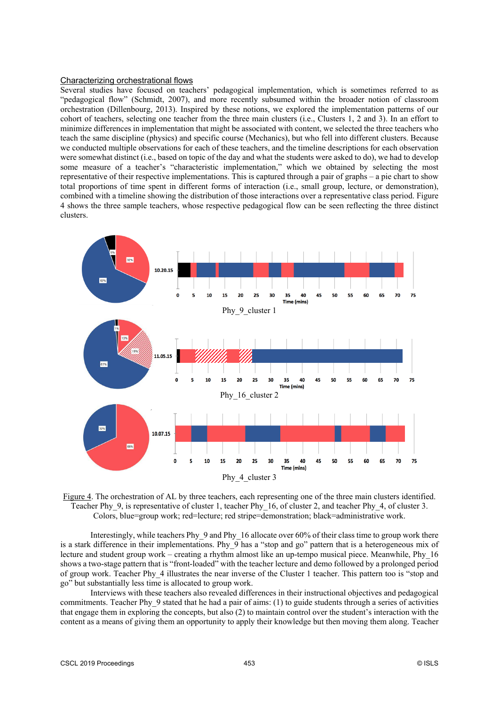#### Characterizing orchestrational flows

Several studies have focused on teachers' pedagogical implementation, which is sometimes referred to as "pedagogical flow" (Schmidt, 2007), and more recently subsumed within the broader notion of classroom orchestration (Dillenbourg, 2013). Inspired by these notions, we explored the implementation patterns of our cohort of teachers, selecting one teacher from the three main clusters (i.e., Clusters 1, 2 and 3). In an effort to minimize differences in implementation that might be associated with content, we selected the three teachers who teach the same discipline (physics) and specific course (Mechanics), but who fell into different clusters. Because we conducted multiple observations for each of these teachers, and the timeline descriptions for each observation were somewhat distinct (i.e., based on topic of the day and what the students were asked to do), we had to develop some measure of a teacher's "characteristic implementation," which we obtained by selecting the most representative of their respective implementations. This is captured through a pair of graphs – a pie chart to show total proportions of time spent in different forms of interaction (i.e., small group, lecture, or demonstration), combined with a timeline showing the distribution of those interactions over a representative class period. Figure 4 shows the three sample teachers, whose respective pedagogical flow can be seen reflecting the three distinct clusters.



Figure 4. The orchestration of AL by three teachers, each representing one of the three main clusters identified. Teacher Phy\_9, is representative of cluster 1, teacher Phy\_16, of cluster 2, and teacher Phy\_4, of cluster 3. Colors, blue=group work; red=lecture; red stripe=demonstration; black=administrative work.

Interestingly, while teachers Phy\_9 and Phy\_16 allocate over 60% of their class time to group work there is a stark difference in their implementations. Phy\_9 has a "stop and go" pattern that is a heterogeneous mix of lecture and student group work – creating a rhythm almost like an up-tempo musical piece. Meanwhile, Phy\_16 shows a two-stage pattern that is "front-loaded" with the teacher lecture and demo followed by a prolonged period of group work. Teacher Phy\_4 illustrates the near inverse of the Cluster 1 teacher. This pattern too is "stop and go" but substantially less time is allocated to group work.

Interviews with these teachers also revealed differences in their instructional objectives and pedagogical commitments. Teacher Phy\_9 stated that he had a pair of aims: (1) to guide students through a series of activities that engage them in exploring the concepts, but also (2) to maintain control over the student's interaction with the content as a means of giving them an opportunity to apply their knowledge but then moving them along. Teacher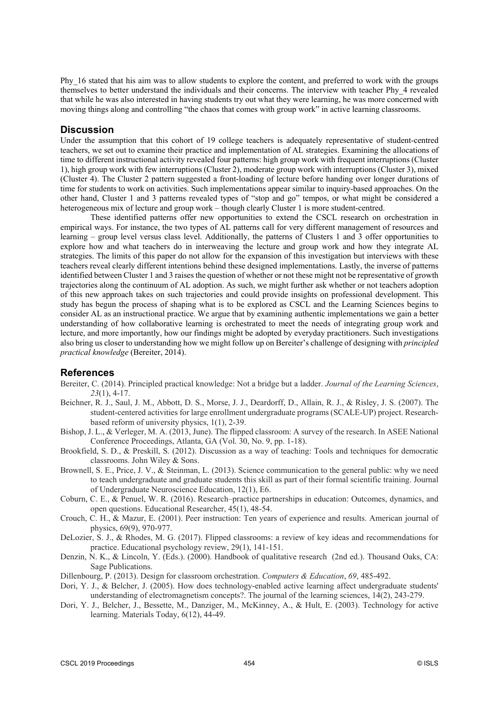Phy\_16 stated that his aim was to allow students to explore the content, and preferred to work with the groups themselves to better understand the individuals and their concerns. The interview with teacher Phy\_4 revealed that while he was also interested in having students try out what they were learning, he was more concerned with moving things along and controlling "the chaos that comes with group work" in active learning classrooms.

#### **Discussion**

Under the assumption that this cohort of 19 college teachers is adequately representative of student-centred teachers, we set out to examine their practice and implementation of AL strategies. Examining the allocations of time to different instructional activity revealed four patterns: high group work with frequent interruptions (Cluster 1), high group work with few interruptions (Cluster 2), moderate group work with interruptions (Cluster 3), mixed (Cluster 4). The Cluster 2 pattern suggested a front-loading of lecture before handing over longer durations of time for students to work on activities. Such implementations appear similar to inquiry-based approaches. On the other hand, Cluster 1 and 3 patterns revealed types of "stop and go" tempos, or what might be considered a heterogeneous mix of lecture and group work – though clearly Cluster 1 is more student-centred.

These identified patterns offer new opportunities to extend the CSCL research on orchestration in empirical ways. For instance, the two types of AL patterns call for very different management of resources and learning – group level versus class level. Additionally, the patterns of Clusters 1 and 3 offer opportunities to explore how and what teachers do in interweaving the lecture and group work and how they integrate AL strategies. The limits of this paper do not allow for the expansion of this investigation but interviews with these teachers reveal clearly different intentions behind these designed implementations. Lastly, the inverse of patterns identified between Cluster 1 and 3 raises the question of whether or not these might not be representative of growth trajectories along the continuum of AL adoption. As such, we might further ask whether or not teachers adoption of this new approach takes on such trajectories and could provide insights on professional development. This study has begun the process of shaping what is to be explored as CSCL and the Learning Sciences begins to consider AL as an instructional practice. We argue that by examining authentic implementations we gain a better understanding of how collaborative learning is orchestrated to meet the needs of integrating group work and lecture, and more importantly, how our findings might be adopted by everyday practitioners. Such investigations also bring us closer to understanding how we might follow up on Bereiter's challenge of designing with *principled practical knowledge* (Bereiter, 2014).

## **References**

- Bereiter, C. (2014). Principled practical knowledge: Not a bridge but a ladder. *Journal of the Learning Sciences*, *23*(1), 4-17.
- Beichner, R. J., Saul, J. M., Abbott, D. S., Morse, J. J., Deardorff, D., Allain, R. J., & Risley, J. S. (2007). The student-centered activities for large enrollment undergraduate programs (SCALE-UP) project. Researchbased reform of university physics, 1(1), 2-39.
- Bishop, J. L., & Verleger, M. A. (2013, June). The flipped classroom: A survey of the research. In ASEE National Conference Proceedings, Atlanta, GA (Vol. 30, No. 9, pp. 1-18).
- Brookfield, S. D., & Preskill, S. (2012). Discussion as a way of teaching: Tools and techniques for democratic classrooms. John Wiley & Sons.
- Brownell, S. E., Price, J. V., & Steinman, L. (2013). Science communication to the general public: why we need to teach undergraduate and graduate students this skill as part of their formal scientific training. Journal of Undergraduate Neuroscience Education, 12(1), E6.
- Coburn, C. E., & Penuel, W. R. (2016). Research–practice partnerships in education: Outcomes, dynamics, and open questions. Educational Researcher, 45(1), 48-54.
- Crouch, C. H., & Mazur, E. (2001). Peer instruction: Ten years of experience and results. American journal of physics, 69(9), 970-977.
- DeLozier, S. J., & Rhodes, M. G. (2017). Flipped classrooms: a review of key ideas and recommendations for practice. Educational psychology review, 29(1), 141-151.
- Denzin, N. K., & Lincoln, Y. (Eds.). (2000). Handbook of qualitative research (2nd ed.). Thousand Oaks, CA: Sage Publications.
- Dillenbourg, P. (2013). Design for classroom orchestration. *Computers & Education*, *69*, 485-492.
- Dori, Y. J., & Belcher, J. (2005). How does technology-enabled active learning affect undergraduate students' understanding of electromagnetism concepts?. The journal of the learning sciences, 14(2), 243-279.
- Dori, Y. J., Belcher, J., Bessette, M., Danziger, M., McKinney, A., & Hult, E. (2003). Technology for active learning. Materials Today, 6(12), 44-49.